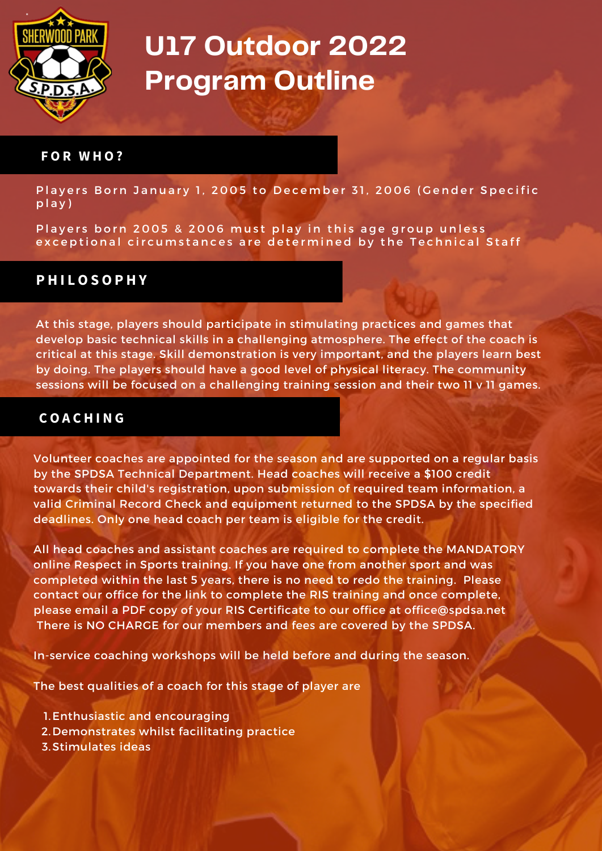

#### **F O R W H O ?**

Players Born January 1, 2005 to December 31, 2006 (Gender Specific p l a y )

Players born 2005 & 2006 must play in this age group unless exceptional circumstances are determined by the Technical Staff

### **P H I L O S O P H Y**

At this stage, players should participate in stimulating practices and games that develop basic technical skills in a challenging atmosphere. The effect of the coach is critical at this stage. Skill demonstration is very important, and the players learn best by doing. The players should have a good level of physical literacy. The community sessions will be focused on a challenging training session and their two 11 v 11 games.

### **C O A C H I N G**

Volunteer coaches are appointed for the season and are supported on a regular basis by the SPDSA Technical Department. Head coaches will receive a \$100 credit towards their child's registration, upon submission of required team information, a valid Criminal Record Check and equipment returned to the SPDSA by the specified deadlines. Only one head coach per team is eligible for the credit.

All head coaches and assistant coaches are required to complete the MANDATORY online Respect in Sports training. If you have one from another sport and was completed within the last 5 years, there is no need to redo the training. Please contact our office for the link to complete the RIS training and once complete, please email a PDF copy of your RIS Certificate to our office at [office@spdsa.net](mailto:office@spdsa.net) There is NO CHARGE for our members and fees are covered by the SPDSA.

In-service coaching workshops will be held before and during the season.

The best qualities of a coach for this stage of player are

- 1. Enthusiastic and encouraging
- 2. Demonstrates whilst facilitating practice
- 3. Stimulates ideas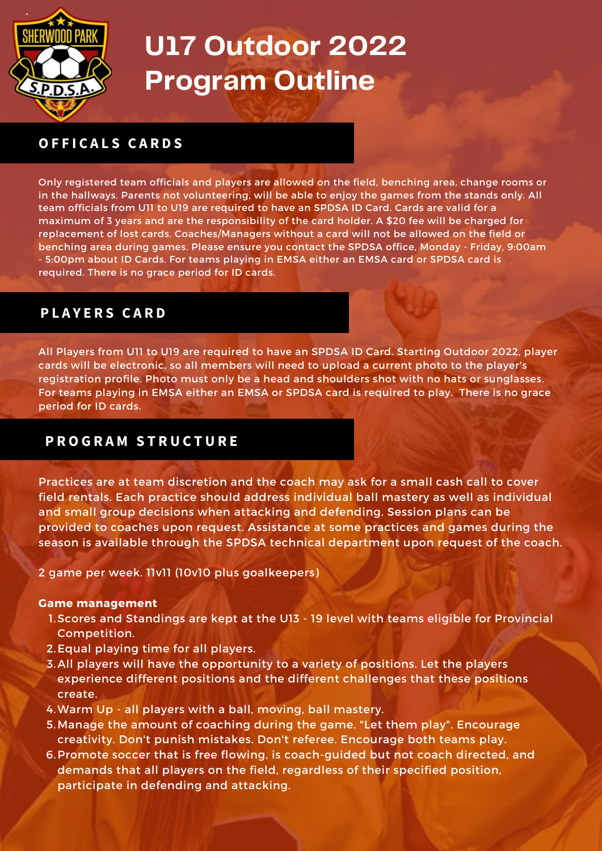

## **O F F I C A L S C A R D S**

Only registered team officials and players are allowed on the field, benching area, change rooms or in the hallways. Parents not volunteering, will be able to enjoy the games from the stands only. All team officials from U11 to U19 are required to have an SPDSA ID Card. Cards are valid for a maximum of 3 years and are the responsibility of the card holder. A \$20 fee will be charged for replacement of lost cards. Coaches/Managers without a card will not be allowed on the field or benching area during games. Please ensure you contact the SPDSA office, Monday - Friday, 9:00am - 5:00pm about ID Cards. For teams playing in EMSA either an EMSA card or SPDSA card is required. There is no grace period for ID cards.

## **P L A Y E R S C A R D**

All Players from U11 to U19 are required to have an SPDSA ID Card. Starting Outdoor 2022, player cards will be electronic, so all members will need to upload a current photo to the player's registration profile. Photo must only be a head and shoulders shot with no hats or sunglasses. For teams playing in EMSA either an EMSA or SPDSA card is required to play. There is no grace period for ID cards.

## **P R O G R A M S T R U C T U R E**

Practices are at team discretion and the coach may ask for a small cash call to cover field rentals. Each practice should address individual ball mastery as well as individual and small group decisions when attacking and defending. Session plans can be provided to coaches upon request. Assistance at some practices and games during the season is available through the SPDSA technical department upon request of the coach.

2 game per week. 11v11 (10v10 plus goalkeepers)

#### **Game management**

- 1. Scores and Standings are kept at the U13 19 level with teams eligible for Provincial Competition.
- 2. Equal playing time for all players.
- All players will have the opportunity to a variety of positions. Let the players 3. experience different positions and the different challenges that these positions create.
- Warm Up all players with a ball, moving, ball mastery. 4.
- 5. Manage the amount of coaching during the game. "Let them play". Encourage creativity. Don't punish mistakes. Don't referee. Encourage both teams play.
- 6. Promote soccer that is free flowing, is coach-guided but not coach directed, and demands that all players on the field, regardless of their specified position, participate in defending and attacking.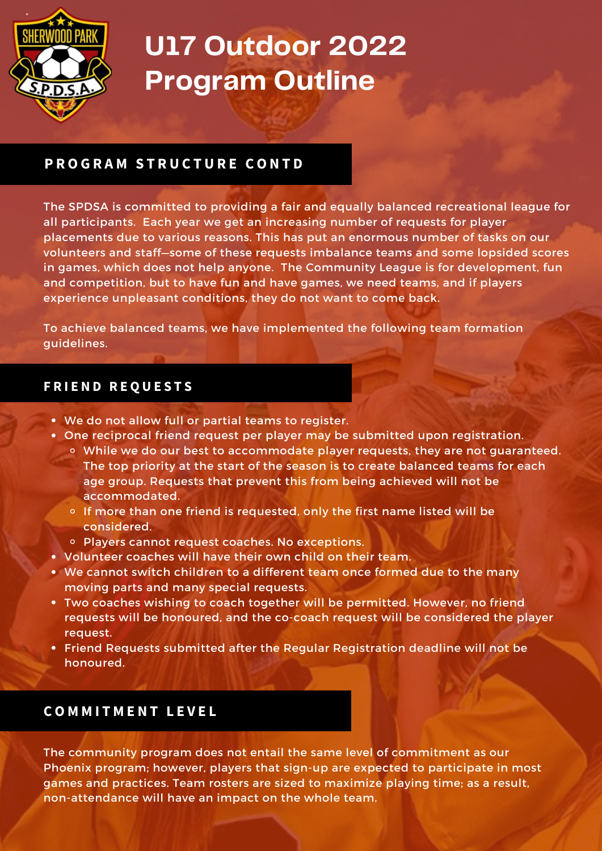

## **P R O G R A M S T R U C T U R E C O N T D**

The SPDSA is committed to providing a fair and equally balanced recreational league for all participants. Each year we get an increasing number of requests for player placements due to various reasons. This has put an enormous number of tasks on our volunteers and staff—some of these requests imbalance teams and some lopsided scores in games, which does not help anyone. The Community League is for development, fun and competition, but to have fun and have games, we need teams, and if players experience unpleasant conditions, they do not want to come back.

To achieve balanced teams, we have implemented the following team formation guidelines.

### **F R I E N D R E Q U E S T S**

- We do not allow full or partial teams to register.
- One reciprocal friend request per player may be submitted upon registration.
	- While we do our best to accommodate player requests, they are not guaranteed. The top priority at the start of the season is to create balanced teams for each age group. Requests that prevent this from being achieved will not be accommodated.
	- $\circ$  If more than one friend is requested, only the first name listed will be considered.
	- o Players cannot request coaches. No exceptions.
- Volunteer coaches will have their own child on their team.
- We cannot switch children to a different team once formed due to the many moving parts and many special requests.
- Two coaches wishing to coach together will be permitted. However, no friend requests will be honoured, and the co-coach request will be considered the player request.
- Friend Requests submitted after the Regular Registration deadline will not be honoured.

## **C O M M I T M E N T L E V E L**

The community program does not entail the same level of commitment as our Phoenix program; however, players that sign-up are expected to participate in most games and practices. Team rosters are sized to maximize playing time; as a result, non-attendance will have an impact on the whole team.